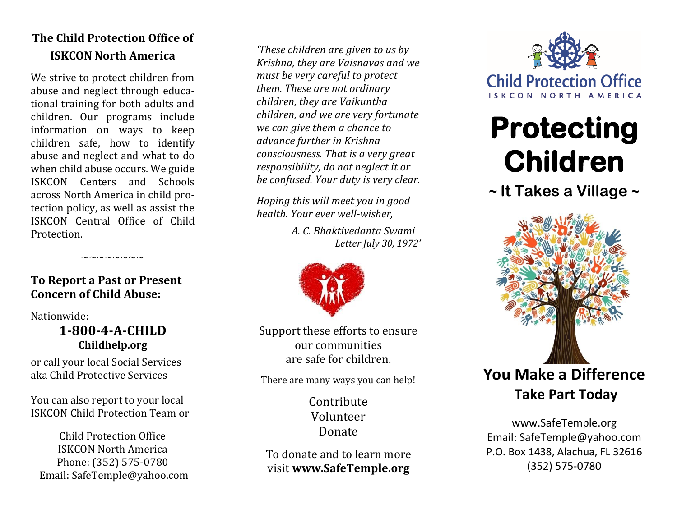# **The Child Protection Office of ISKCON North America**

We strive to protect children from abuse and neglect through educa tional training for both adults and children. Our programs include information on ways to keep children safe, how to identify abuse and neglect and what to do when child abuse occurs. We guide ISKCON Centers and Schools across North America in child pro tection policy, as well as assist the ISKCON Central Office of Child Protection.

# **To Report a Past or Present Concern of Child Abuse:**

 $\sim\sim\sim\sim\sim\sim\sim$ 

Nationwide:

# **1-800 - 4 - A -CHILD Childhelp.org**

or call your local Social Services aka Child Protective Services

You can also report to your local ISKCON Child Protection Team or

Child Protection Office ISKCON North America Phone: (352) 575 -0780 Email: SafeTemple@yahoo.com

*'These children are given to us by Krishna, they are Vaisnavas and we must be very careful to protect them. These are not ordinary children, they are Vaikuntha children, and we are very fortunate we can give them a chance to advance further in Krishna consciousness. That is a very great responsibility, do not neglect it or be confused. Your duty is very clear.* 

*Hoping this will meet you in good health. Your ever well -wisher,* 

> *A. C. Bhaktivedanta Swami Letter July 30, 1972 '*



Support these efforts to ensure our communities are safe for children.

There are many ways you can help!

Contribute Volunteer Donate

To donate and to learn more visit **www.SafeTemple.org**



# **Protecting Children**

**~ It Takes a Village ~**



www.SafeTemple.org Email: SafeTemple@yahoo.com P.O. Box 1438, Alachua, FL 32616 (352) 575 -0780